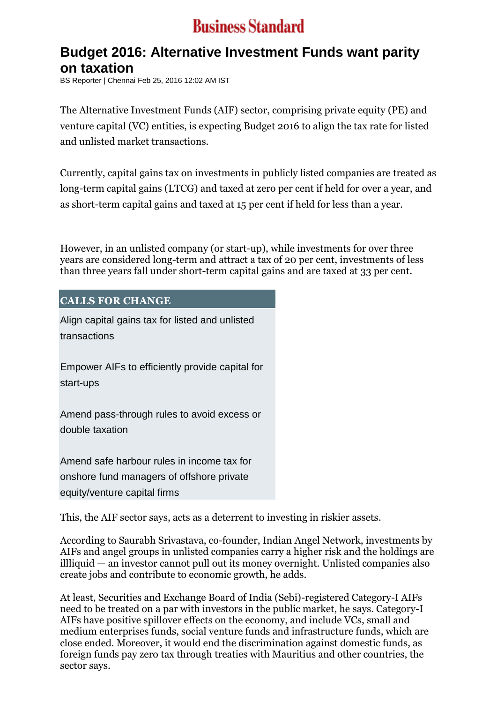## **Business Standard**

## **Budget 2016: Alternative Investment Funds want parity on taxation**

BS Reporter | Chennai Feb 25, 2016 12:02 AM IST

The Alternative Investment Funds (AIF) sector, comprising private equity (PE) and venture capital (VC) entities, is expecting Budget 2016 to align the tax rate for listed and unlisted market transactions.

Currently, capital gains tax on investments in publicly listed companies are treated as long-term capital gains (LTCG) and taxed at zero per cent if held for over a year, and as short-term capital gains and taxed at 15 per cent if held for less than a year.

However, in an unlisted company (or start-up), while investments for over three years are considered long-term and attract a tax of 20 per cent, investments of less than three years fall under short-term capital gains and are taxed at 33 per cent.

## **CALLS FOR CHANGE**

 Align capital gains tax for listed and unlisted transactions

 Empower AIFs to efficiently provide capital for start-ups

 Amend pass-through rules to avoid excess or double taxation

 Amend safe harbour rules in income tax for onshore fund managers of offshore private equity/venture capital firms

This, the AIF sector says, acts as a deterrent to investing in riskier assets.

According to Saurabh Srivastava, co-founder, Indian Angel Network, investments by AIFs and angel groups in unlisted companies carry a higher risk and the holdings are illliquid — an investor cannot pull out its money overnight. Unlisted companies also create jobs and contribute to economic growth, he adds.

At least, Securities and Exchange Board of India (Sebi)-registered Category-I AIFs need to be treated on a par with investors in the public market, he says. Category-I AIFs have positive spillover effects on the economy, and include VCs, small and medium enterprises funds, social venture funds and infrastructure funds, which are close ended. Moreover, it would end the discrimination against domestic funds, as foreign funds pay zero tax through treaties with Mauritius and other countries, the sector says.